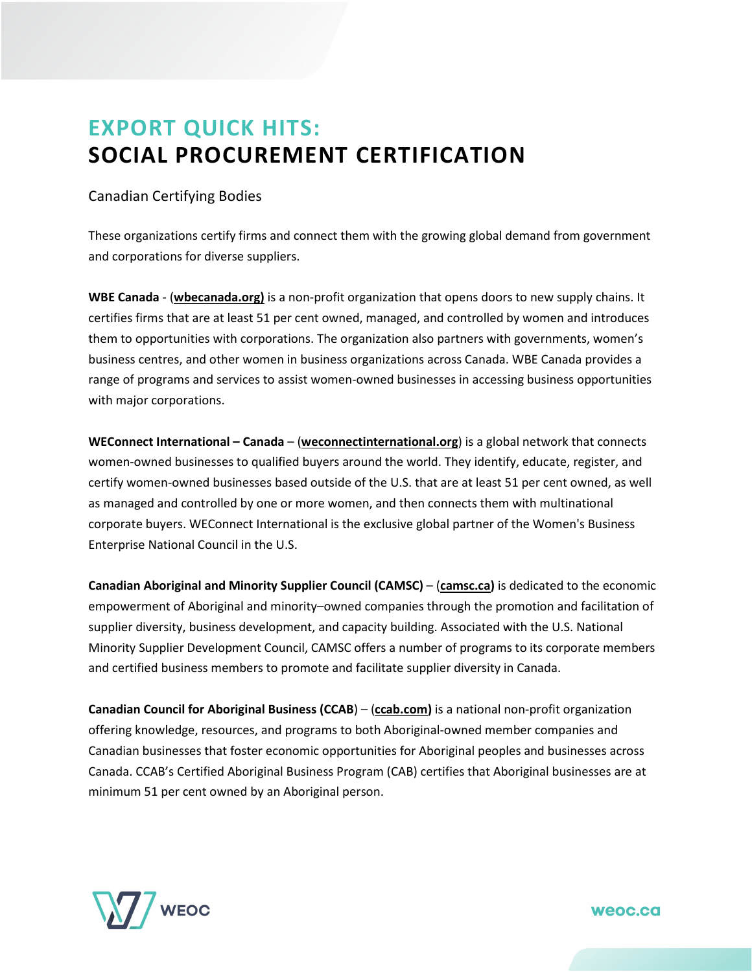## **EXPORT QUICK HITS: SOCIAL PROCUREMENT CERTIFICATION**

## Canadian Certifying Bodies

These organizations certify firms and connect them with the growing global demand from government and corporations for diverse suppliers.

**WBE Canada** - (**wbecanada.org)** is a non-profit organization that opens doors to new supply chains. It certifies firms that are at least 51 per cent owned, managed, and controlled by women and introduces them to opportunities with corporations. The organization also partners with governments, women's business centres, and other women in business organizations across Canada. WBE Canada provides a range of programs and services to assist women-owned businesses in accessing business opportunities with major corporations.

**WEConnect International – Canada** – (**[weconnectinternational.org](http://www.weconnectinternational.org/)**) is a global network that connects women-owned businesses to qualified buyers around the world. They identify, educate, register, and certify women-owned businesses based outside of the U.S. that are at least 51 per cent owned, as well as managed and controlled by one or more women, and then connects them with multinational corporate buyers. WEConnect International is the exclusive global partner of the Women's Business Enterprise National Council in the U.S.

**Canadian Aboriginal and Minority Supplier Council (CAMSC)** – (**[camsc.ca\)](http://www.camsc.ca/)** is dedicated to the economic empowerment of Aboriginal and minority–owned companies through the promotion and facilitation of supplier diversity, business development, and capacity building. Associated with the U.S. National Minority Supplier Development Council, CAMSC offers a number of programs to its corporate members and certified business members to promote and facilitate supplier diversity in Canada.

**Canadian Council for Aboriginal Business (CCAB**) – (**[ccab.com\)](http://www.ccab.com/)** is a national non-profit organization offering knowledge, resources, and programs to both Aboriginal-owned member companies and Canadian businesses that foster economic opportunities for Aboriginal peoples and businesses across Canada. CCAB's Certified Aboriginal Business Program (CAB) certifies that Aboriginal businesses are at minimum 51 per cent owned by an Aboriginal person.



weoc.ca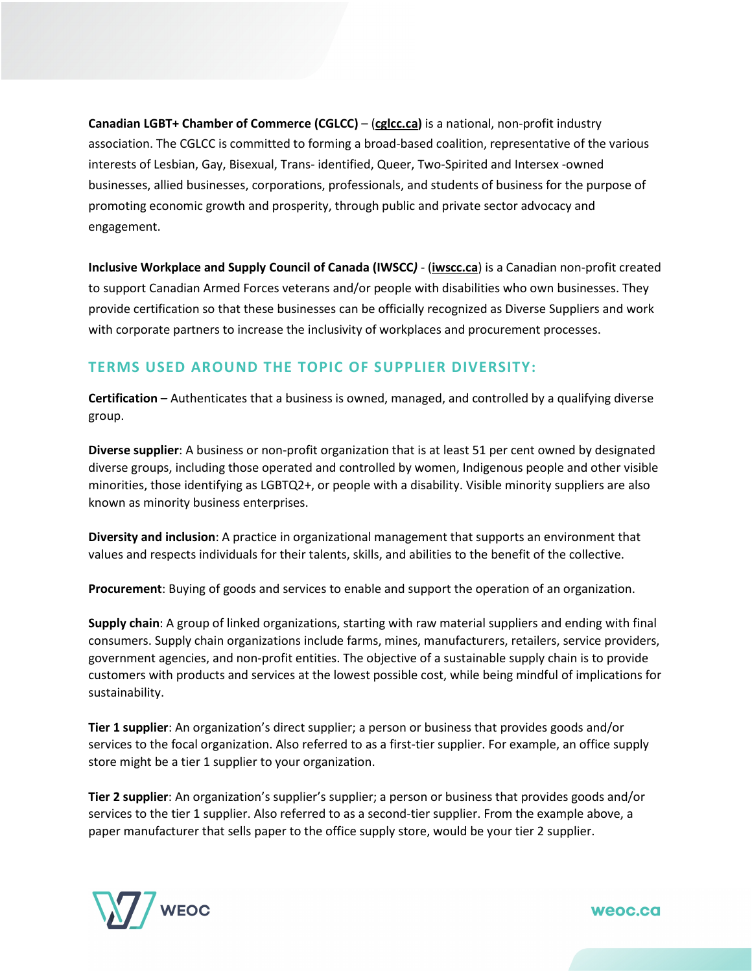**Canadian LGBT+ Chamber of Commerce (CGLCC)** – (**[cglcc.ca\)](http://www.cglcc.ca/)** is a national, non-profit industry association. The CGLCC is committed to forming a broad-based coalition, representative of the various interests of Lesbian, Gay, Bisexual, Trans- identified, Queer, Two-Spirited and Intersex -owned businesses, allied businesses, corporations, professionals, and students of business for the purpose of promoting economic growth and prosperity, through public and private sector advocacy and engagement.

**Inclusive Workplace and Supply Council of Canada (IWSCC***)* - (**[iwscc.ca](https://iwscc.ca/)**) is a Canadian non-profit created to support Canadian Armed Forces veterans and/or people with disabilities who own businesses. They provide certification so that these businesses can be officially recognized as Diverse Suppliers and work with corporate partners to increase the inclusivity of workplaces and procurement processes.

## **TERMS USED AROUND THE TOPIC OF SUPPLIER DIVERSITY:**

**Certification –** Authenticates that a business is owned, managed, and controlled by a qualifying diverse group.

**Diverse supplier**: A business or non-profit organization that is at least 51 per cent owned by designated diverse groups, including those operated and controlled by women, Indigenous people and other visible minorities, those identifying as LGBTQ2+, or people with a disability. Visible minority suppliers are also known as minority business enterprises.

**Diversity and inclusion**: A practice in organizational management that supports an environment that values and respects individuals for their talents, skills, and abilities to the benefit of the collective.

**Procurement**: Buying of goods and services to enable and support the operation of an organization.

**Supply chain**: A group of linked organizations, starting with raw material suppliers and ending with final consumers. Supply chain organizations include farms, mines, manufacturers, retailers, service providers, government agencies, and non-profit entities. The objective of a sustainable supply chain is to provide customers with products and services at the lowest possible cost, while being mindful of implications for sustainability.

**Tier 1 supplier**: An organization's direct supplier; a person or business that provides goods and/or services to the focal organization. Also referred to as a first-tier supplier. For example, an office supply store might be a tier 1 supplier to your organization.

**Tier 2 supplier**: An organization's supplier's supplier; a person or business that provides goods and/or services to the tier 1 supplier. Also referred to as a second-tier supplier. From the example above, a paper manufacturer that sells paper to the office supply store, would be your tier 2 supplier.



weoc.ca